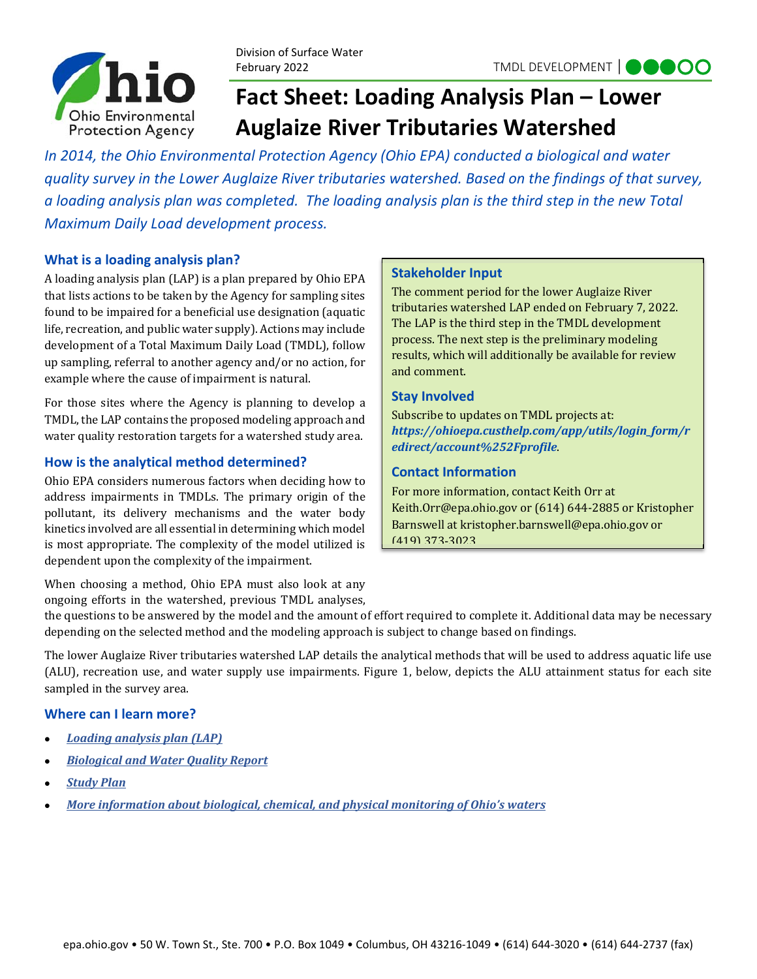

Division of Surface Water February 2022

## **Fact Sheet: Loading Analysis Plan – Lower Auglaize River Tributaries Watershed**

*In 2014, the Ohio Environmental Protection Agency (Ohio EPA) conducted a biological and water quality survey in the Lower Auglaize River tributaries watershed. Based on the findings of that survey, a loading analysis plan was completed. The loading analysis plan is the third step in the new Total Maximum Daily Load development process.* 

#### **What is a loading analysis plan?**

A loading analysis plan (LAP) is a plan prepared by Ohio EPA that lists actions to be taken by the Agency for sampling sites found to be impaired for a beneficial use designation (aquatic life, recreation, and public water supply). Actions may include development of a Total Maximum Daily Load (TMDL), follow up sampling, referral to another agency and/or no action, for example where the cause of impairment is natural.

For those sites where the Agency is planning to develop a TMDL, the LAP contains the proposed modeling approach and water quality restoration targets for a watershed study area.

### **How is the analytical method determined?**

Ohio EPA considers numerous factors when deciding how to address impairments in TMDLs. The primary origin of the pollutant, its delivery mechanisms and the water body kinetics involved are all essential in determining which model is most appropriate. The complexity of the model utilized is dependent upon the complexity of the impairment.

# When choosing a method, Ohio EPA must also look at any

ongoing efforts in the watershed, previous TMDL analyses,

the questions to be answered by the model and the amount of effort required to complete it. Additional data may be necessary depending on the selected method and the modeling approach is subject to change based on findings.

The lower Auglaize River tributaries watershed LAP details the analytical methods that will be used to address aquatic life use (ALU), recreation use, and water supply use impairments. Figure 1, below, depicts the ALU attainment status for each site sampled in the survey area.

#### **Where can I learn more?**

- *Loading analysis plan (LAP)*
- *Biological and Water Quality Report*
- *Study Plan*
- *More information about biological, chemical, and physical monitoring of Ohio's waters*

#### **Stakeholder Input**

The comment period for the lower Auglaize River tributaries watershed LAP ended on February 7, 2022. The LAP is the third step in the TMDL development process. The next step is the preliminary modeling results, which will additionally be available for review and comment.

#### **Stay Involved**

Subscribe to updates on TMDL projects at: *https://ohioepa.custhelp.com/app/utils/login\_form/r edirect/account%252Fprofile*.

#### **Contact Information**

For more information, contact Keith Orr at Keith.Orr@epa.ohio.gov or (614) 644-2885 or Kristopher Barnswell at kristopher.barnswell@epa.ohio.gov or (419) 373-3023